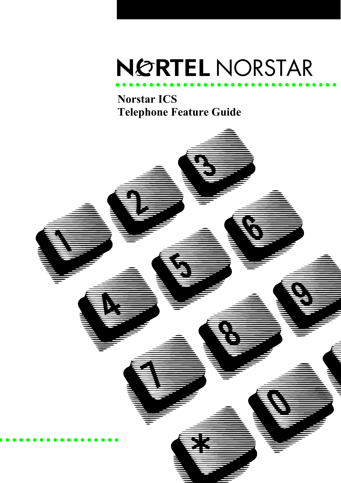## NORTEL NORSTAR •••••••••••••••••• •••••••••••••••

**Norstar ICS Telephone Feature Guide**

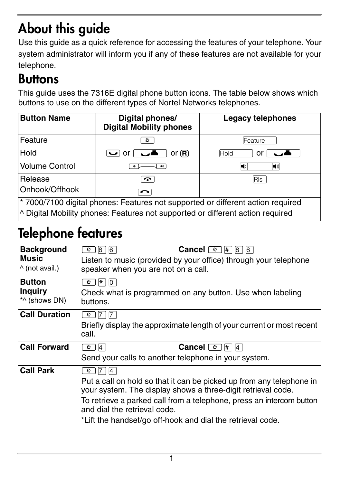# **About this guide**

Use this guide as a quick reference for accessing the features of your telephone. Your system administrator will inform you if any of these features are not available for your telephone.

### **Buttons**

This guide uses the 7316E digital phone button icons. The table below shows which buttons to use on the different types of Nortel Networks telephones.

| <b>Button Name</b>                                                                         | Digital phones/<br><b>Digital Mobility phones</b> | <b>Legacy telephones</b> |
|--------------------------------------------------------------------------------------------|---------------------------------------------------|--------------------------|
| Feature                                                                                    | ø                                                 | Feature                  |
| <b>Hold</b>                                                                                | or $(R)$<br>$\cup$ or                             | Hold<br>or               |
| Volume Control                                                                             |                                                   | (ا)                      |
| Release                                                                                    | T.                                                | RIs                      |
| IOnhook/Offhook                                                                            |                                                   |                          |
| <sup>*</sup> 7000/7100 digital phones: Features not supported or different action required |                                                   |                          |
| <sup>1</sup> Digital Mobility phones: Features not supported or different action required  |                                                   |                          |

# **Telephone features**

| <b>Background</b><br><b>Music</b><br>$\wedge$ (not avail.) | <b>Cancel</b> $\boxed{6}$ $\boxed{4}$ $\boxed{8}$ $\boxed{6}$<br> 8 <br><b>6</b><br>O.<br>Listen to music (provided by your office) through your telephone<br>speaker when you are not on a call.                                                                                                                     |
|------------------------------------------------------------|-----------------------------------------------------------------------------------------------------------------------------------------------------------------------------------------------------------------------------------------------------------------------------------------------------------------------|
| <b>Button</b><br><b>Inquiry</b><br>*^ (shows DN)           | $ \star $<br>10<br>$\circ$  <br>Check what is programmed on any button. Use when labeling<br>buttons.                                                                                                                                                                                                                 |
| <b>Call Duration</b>                                       | $\vert 7 \vert$<br> 7 <br>$\circ$<br>Briefly display the approximate length of your current or most recent<br>call.                                                                                                                                                                                                   |
| <b>Call Forward</b>                                        | <b>Cancel</b> $\boxed{\circ}$ #<br> 4 <br>$ 4\rangle$<br>$\circ$ 1<br>Send your calls to another telephone in your system.                                                                                                                                                                                            |
| <b>Call Park</b>                                           | 14<br>O<br>Put a call on hold so that it can be picked up from any telephone in<br>your system. The display shows a three-digit retrieval code.<br>To retrieve a parked call from a telephone, press an intercom button<br>and dial the retrieval code.<br>*Lift the handset/go off-hook and dial the retrieval code. |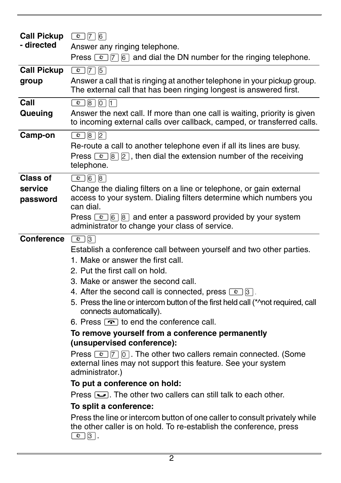| <b>Call Pickup</b> | $\boxed{\circ}$ 7 6                                                                                                                                                                |
|--------------------|------------------------------------------------------------------------------------------------------------------------------------------------------------------------------------|
| - directed         | Answer any ringing telephone.                                                                                                                                                      |
|                    | Press $\boxed{\circ}$ $\boxed{7}$ $\boxed{6}$ and dial the DN number for the ringing telephone.                                                                                    |
| <b>Call Pickup</b> | 075                                                                                                                                                                                |
| group              | Answer a call that is ringing at another telephone in your pickup group.<br>The external call that has been ringing longest is answered first.                                     |
| Call               | $\boxed{0}$ 8 $\boxed{0}$ 1                                                                                                                                                        |
| Queuing            | Answer the next call. If more than one call is waiting, priority is given<br>to incoming external calls over callback, camped, or transferred calls.                               |
| Camp-on            | $\boxed{\bullet}$ 8 2                                                                                                                                                              |
|                    | Re-route a call to another telephone even if all its lines are busy.                                                                                                               |
|                    | Press $\boxed{e}$ $\boxed{8}$ $\boxed{2}$ , then dial the extension number of the receiving<br>telephone.                                                                          |
| Class of           | $\boxed{6}$ $\boxed{8}$                                                                                                                                                            |
| service            | Change the dialing filters on a line or telephone, or gain external                                                                                                                |
| password           | access to your system. Dialing filters determine which numbers you<br>can dial.                                                                                                    |
|                    | Press $\boxed{\circ}$ 6 8 and enter a password provided by your system<br>administrator to change your class of service.                                                           |
| Conference         | $\boxed{e}$ 3                                                                                                                                                                      |
|                    | Establish a conference call between yourself and two other parties.                                                                                                                |
|                    | 1. Make or answer the first call.                                                                                                                                                  |
|                    | 2. Put the first call on hold.                                                                                                                                                     |
|                    | 3. Make or answer the second call.                                                                                                                                                 |
|                    | 4. After the second call is connected, press $\boxed{\circ}$ 3.                                                                                                                    |
|                    | 5. Press the line or intercom button of the first held call (*^not required, call<br>connects automatically).                                                                      |
|                    | 6. Press $\boxed{\cdot \cdot \cdot}$ to end the conference call.                                                                                                                   |
|                    | To remove yourself from a conference permanently                                                                                                                                   |
|                    | (unsupervised conference):                                                                                                                                                         |
|                    | Press $\boxed{\bullet}$ $\boxed{7}$ $\boxed{0}$ . The other two callers remain connected. (Some<br>external lines may not support this feature. See your system<br>administrator.) |
|                    | To put a conference on hold:                                                                                                                                                       |
|                    | Press $\boxed{\bullet}$ . The other two callers can still talk to each other.                                                                                                      |
|                    | To split a conference:                                                                                                                                                             |
|                    | Press the line or intercom button of one caller to consult privately while<br>the other caller is on hold. To re-establish the conference, press<br>$\boxed{\bullet}$ 3.           |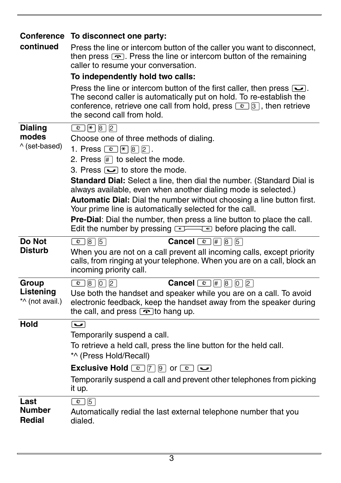| continued                                | Conference To disconnect one party:<br>Press the line or intercom button of the caller you want to disconnect,<br>then press $\boxed{\cdot}$ . Press the line or intercom button of the remaining<br>caller to resume your conversation.<br>To independently hold two calls:<br>Press the line or intercom button of the first caller, then press $\sum$ .<br>The second caller is automatically put on hold. To re-establish the<br>conference, retrieve one call from hold, press $\boxed{\circ}$ 3, then retrieve<br>the second call from hold.                                                                                                                                  |
|------------------------------------------|-------------------------------------------------------------------------------------------------------------------------------------------------------------------------------------------------------------------------------------------------------------------------------------------------------------------------------------------------------------------------------------------------------------------------------------------------------------------------------------------------------------------------------------------------------------------------------------------------------------------------------------------------------------------------------------|
| <b>Dialing</b><br>modes<br>^ (set-based) | $\boxed{0}$ $\boxed{4}$ $\boxed{8}$ $\boxed{2}$<br>Choose one of three methods of dialing.<br>1. Press $\boxed{\circ}$ $\boxed{*}$ $\boxed{8}$ $\boxed{2}$ .<br>2. Press $\mathbb{H}$ to select the mode.<br>3. Press $\sum$ to store the mode.<br>Standard Dial: Select a line, then dial the number. (Standard Dial is<br>always available, even when another dialing mode is selected.)<br>Automatic Dial: Dial the number without choosing a line button first.<br>Your prime line is automatically selected for the call.<br>Pre-Dial: Dial the number, then press a line button to place the call.<br>Edit the number by pressing <b>Example 200</b> before placing the call. |
| Do Not<br>Disturb                        | <b>Cancel</b> $\boxed{e}$ $\boxed{H}$ $\boxed{8}$ $\boxed{5}$<br>$\boxed{6}$ 8 5<br>When you are not on a call prevent all incoming calls, except priority<br>calls, from ringing at your telephone. When you are on a call, block an<br>incoming priority call.                                                                                                                                                                                                                                                                                                                                                                                                                    |
| Group<br>Listening<br>*^ (not avail.)    | <b>Cancel</b> $\boxed{e}$ $\boxed{\#}$ $\boxed{8}$ $\boxed{0}$ $\boxed{2}$<br>$\boxed{0}$ 8 0 2<br>Use both the handset and speaker while you are on a call. To avoid<br>electronic feedback, keep the handset away from the speaker during<br>the call, and press $\boxed{\bullet}$ to hang up.                                                                                                                                                                                                                                                                                                                                                                                    |
| <b>Hold</b>                              | $\overline{\phantom{a}}$<br>Temporarily suspend a call.<br>To retrieve a held call, press the line button for the held call.<br>*^ (Press Hold/Recall)<br><b>Exclusive Hold</b> $\boxed{\circ}$ 7 9 or $\boxed{\circ}$ $\boxed{\bullet}$<br>Temporarily suspend a call and prevent other telephones from picking<br>it up.                                                                                                                                                                                                                                                                                                                                                          |
| Last<br>Number<br>Redial                 | $\boxed{\bullet}$ 5<br>Automatically redial the last external telephone number that you<br>dialed.                                                                                                                                                                                                                                                                                                                                                                                                                                                                                                                                                                                  |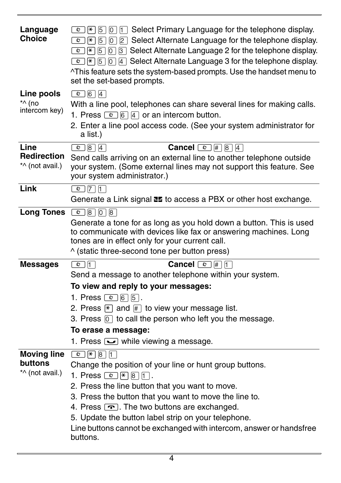| Language<br>Choice                               | $\boxed{\bullet}$ $\boxed{\ast}$ 5 $\boxed{0}$ 1 Select Primary Language for the telephone display.<br>$\boxed{\bullet}$ $\boxed{\ast}$ 5 $\boxed{0}$ 2 Select Alternate Language for the telephone display.<br>$\boxed{\circ}$ $\boxed{\ast}$ 5 $\boxed{0}$ 3 Select Alternate Language 2 for the telephone display.<br>$\boxed{\bullet}$ $\boxed{\ast}$ $\boxed{5}$ $\boxed{0}$ $\boxed{4}$ Select Alternate Language 3 for the telephone display.<br>^This feature sets the system-based prompts. Use the handset menu to<br>set the set-based prompts. |
|--------------------------------------------------|------------------------------------------------------------------------------------------------------------------------------------------------------------------------------------------------------------------------------------------------------------------------------------------------------------------------------------------------------------------------------------------------------------------------------------------------------------------------------------------------------------------------------------------------------------|
| Line pools<br>*^ (no<br>intercom key)            | $\boxed{6}$ 6 4<br>With a line pool, telephones can share several lines for making calls.<br>1. Press $\boxed{\bullet}$ 6 4 or an intercom button.<br>2. Enter a line pool access code. (See your system administrator for<br>a list.)                                                                                                                                                                                                                                                                                                                     |
| Line<br>Redirection<br>*^ (not avail.)           | $\boxed{\bullet}$ $\boxed{8}$ $\boxed{4}$<br><b>Cancel</b> $\boxed{e}$ $\boxed{H}$ $\boxed{8}$ $\boxed{4}$<br>Send calls arriving on an external line to another telephone outside<br>your system. (Some external lines may not support this feature. See<br>your system administrator.)                                                                                                                                                                                                                                                                   |
| Link                                             | $\boxed{\bullet}$ 7 1<br>Generate a Link signal <b>E5</b> to access a PBX or other host exchange.                                                                                                                                                                                                                                                                                                                                                                                                                                                          |
| <b>Long Tones</b>                                | 0 8 0 8<br>Generate a tone for as long as you hold down a button. This is used<br>to communicate with devices like fax or answering machines. Long<br>tones are in effect only for your current call.<br>^ (static three-second tone per button press)                                                                                                                                                                                                                                                                                                     |
| <b>Messages</b>                                  | $\boxed{\circ}$ 1<br><b>Cancel</b> $\text{C}$ $\text{F}$ $\text{F}$<br>Send a message to another telephone within your system.<br>To view and reply to your messages:<br>1. Press $\textcircled{2}$ 6 5.<br>2. Press $*$ and $#$ to view your message list.<br>3. Press $\overline{0}$ to call the person who left you the message.<br>To erase a message:<br>1. Press $\sum$ while viewing a message.                                                                                                                                                     |
| <b>Moving line</b><br>buttons<br>*^ (not avail.) | $\boxed{e}$ $\boxed{*}$ $\boxed{8}$ $\boxed{1}$<br>Change the position of your line or hunt group buttons.<br>1. Press $\circledcirc$ $\overline{\ast}$ $\overline{\circ}$ $\overline{\cdot}$ .<br>2. Press the line button that you want to move.<br>3. Press the button that you want to move the line to.<br>4. Press $\boxed{\cdot}$ . The two buttons are exchanged.<br>5. Update the button label strip on your telephone.<br>Line buttons cannot be exchanged with intercom, answer or handsfree<br>buttons.                                        |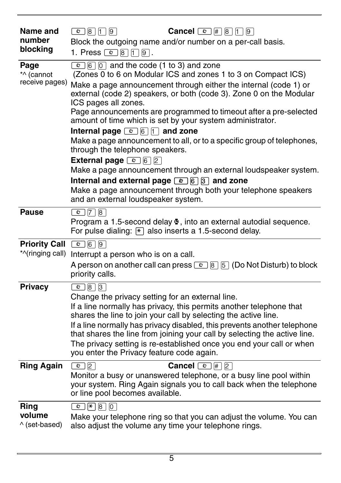| <b>Name and</b><br>number            | Cancel © # 8 1 9<br>$\boxed{\circledcirc}$ $\boxed{8}$ $\boxed{1}$ $\boxed{9}$                                                                                                                                                                                                                                                                                                                                                                                           |
|--------------------------------------|--------------------------------------------------------------------------------------------------------------------------------------------------------------------------------------------------------------------------------------------------------------------------------------------------------------------------------------------------------------------------------------------------------------------------------------------------------------------------|
| blocking                             | Block the outgoing name and/or number on a per-call basis.<br>1. Press $\textcircled{2}$ 8 1 9.                                                                                                                                                                                                                                                                                                                                                                          |
| Page<br>*^ (cannot<br>receive pages) | $\boxed{\circ}$ 6 0 and the code (1 to 3) and zone<br>(Zones $\overline{0}$ to 6 on Modular ICS and zones 1 to 3 on Compact ICS)                                                                                                                                                                                                                                                                                                                                         |
|                                      | Make a page announcement through either the internal (code 1) or<br>external (code 2) speakers, or both (code 3). Zone 0 on the Modular<br>ICS pages all zones.                                                                                                                                                                                                                                                                                                          |
|                                      | Page announcements are programmed to timeout after a pre-selected<br>amount of time which is set by your system administrator.                                                                                                                                                                                                                                                                                                                                           |
|                                      | Internal page $\textcircled{\textcircled{\scriptsize{\lhd}}}$ $\textcircled{\scriptsize{\lhd}}$ $\textcircled{\scriptsize{\lhd}}$ and zone<br>Make a page announcement to all, or to a specific group of telephones,<br>through the telephone speakers.                                                                                                                                                                                                                  |
|                                      | <b>External page</b> $\boxed{6}$ $\boxed{2}$<br>Make a page announcement through an external loudspeaker system.                                                                                                                                                                                                                                                                                                                                                         |
|                                      | Internal and external page $\boxed{2}$ $\boxed{6}$ $\boxed{3}$ and zone<br>Make a page announcement through both your telephone speakers<br>and an external loudspeaker system.                                                                                                                                                                                                                                                                                          |
| <b>Pause</b>                         | $\boxed{6}$ 7 8                                                                                                                                                                                                                                                                                                                                                                                                                                                          |
|                                      | Program a 1.5-second delay $\bullet$ , into an external autodial sequence.<br>For pulse dialing: $\mathbb{F}$ also inserts a 1.5-second delay.                                                                                                                                                                                                                                                                                                                           |
| Priority Call © 6 9                  |                                                                                                                                                                                                                                                                                                                                                                                                                                                                          |
|                                      | *^(ringing call) Interrupt a person who is on a call.                                                                                                                                                                                                                                                                                                                                                                                                                    |
|                                      | A person on another call can press $\boxed{\circ}$ $\boxed{8}$ $\boxed{5}$ (Do Not Disturb) to block<br>priority calls.                                                                                                                                                                                                                                                                                                                                                  |
| <b>Privacy</b>                       | $\boxed{\bullet}$ 8 3                                                                                                                                                                                                                                                                                                                                                                                                                                                    |
|                                      | Change the privacy setting for an external line.<br>If a line normally has privacy, this permits another telephone that<br>shares the line to join your call by selecting the active line.<br>If a line normally has privacy disabled, this prevents another telephone<br>that shares the line from joining your call by selecting the active line.<br>The privacy setting is re-established once you end your call or when<br>you enter the Privacy feature code again. |
| <b>Ring Again</b>                    | <b>Cancel</b> $\boxed{\circ}$ $\boxed{\#}$ 2<br>$\boxed{\circ}$ 2<br>Monitor a busy or unanswered telephone, or a busy line pool within<br>your system. Ring Again signals you to call back when the telephone<br>or line pool becomes available.                                                                                                                                                                                                                        |
| Ring<br>volume<br>^ (set-based)      | $\boxed{0}$ $\boxed{8}$ $\boxed{0}$<br>Make your telephone ring so that you can adjust the volume. You can<br>also adjust the volume any time your telephone rings.                                                                                                                                                                                                                                                                                                      |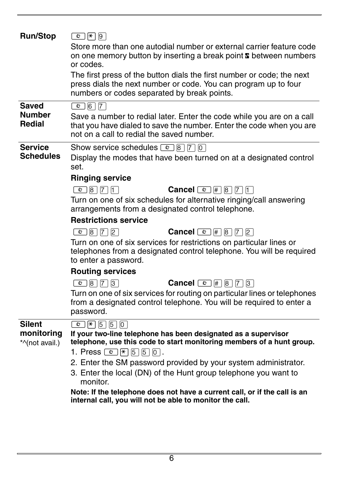| <b>Run/Stop</b>              | $\boxed{\circ}$ $\boxed{*}$ $\boxed{9}$<br>Store more than one autodial number or external carrier feature code<br>on one memory button by inserting a break point <b>E</b> between numbers<br>or codes.<br>The first press of the button dials the first number or code; the next<br>press dials the next number or code. You can program up to four<br>numbers or codes separated by break points. |
|------------------------------|------------------------------------------------------------------------------------------------------------------------------------------------------------------------------------------------------------------------------------------------------------------------------------------------------------------------------------------------------------------------------------------------------|
| <b>Saved</b>                 | $\boxed{\bullet}$ 6 7                                                                                                                                                                                                                                                                                                                                                                                |
| <b>Number</b><br>Redial      | Save a number to redial later. Enter the code while you are on a call<br>that you have dialed to save the number. Enter the code when you are<br>not on a call to redial the saved number.                                                                                                                                                                                                           |
| <b>Service</b>               | Show service schedules $\boxed{\circ}$ 8 $\boxed{7}$ 0                                                                                                                                                                                                                                                                                                                                               |
| <b>Schedules</b>             | Display the modes that have been turned on at a designated control<br>set.                                                                                                                                                                                                                                                                                                                           |
|                              | <b>Ringing service</b>                                                                                                                                                                                                                                                                                                                                                                               |
|                              | 0 8 7 1<br><b>Cancel</b> $\boxed{e}$ $\boxed{\#}$ $\boxed{8}$ $\boxed{7}$ $\boxed{1}$                                                                                                                                                                                                                                                                                                                |
|                              | Turn on one of six schedules for alternative ringing/call answering<br>arrangements from a designated control telephone.                                                                                                                                                                                                                                                                             |
|                              | <b>Restrictions service</b>                                                                                                                                                                                                                                                                                                                                                                          |
|                              | $\boxed{6}$ $\boxed{8}$ $\boxed{7}$ $\boxed{2}$<br><b>Cancel</b> $\boxed{e}$ # $\boxed{8}$ 7 $\boxed{2}$                                                                                                                                                                                                                                                                                             |
|                              | Turn on one of six services for restrictions on particular lines or<br>telephones from a designated control telephone. You will be required<br>to enter a password.                                                                                                                                                                                                                                  |
|                              | <b>Routing services</b>                                                                                                                                                                                                                                                                                                                                                                              |
|                              | $\boxed{6}$ $\boxed{8}$ $\boxed{7}$ $\boxed{3}$<br><b>Cancel</b> $\boxed{e}$ # $\boxed{8}$ 7 $\boxed{3}$                                                                                                                                                                                                                                                                                             |
|                              | Turn on one of six services for routing on particular lines or telephones<br>from a designated control telephone. You will be required to enter a<br>password.                                                                                                                                                                                                                                       |
| <b>Silent</b>                | $\boxed{0}$ $\boxed{1}$ $\boxed{5}$ $\boxed{5}$ $\boxed{0}$                                                                                                                                                                                                                                                                                                                                          |
| monitoring<br>*^(not avail.) | If your two-line telephone has been designated as a supervisor<br>telephone, use this code to start monitoring members of a hunt group.                                                                                                                                                                                                                                                              |
|                              | 1. Press © \ [5   5   0 ].                                                                                                                                                                                                                                                                                                                                                                           |
|                              | 2. Enter the SM password provided by your system administrator.                                                                                                                                                                                                                                                                                                                                      |
|                              | 3. Enter the local (DN) of the Hunt group telephone you want to                                                                                                                                                                                                                                                                                                                                      |
|                              | monitor.                                                                                                                                                                                                                                                                                                                                                                                             |
|                              | Note: If the telephone does not have a current call, or if the call is an<br>internal call, you will not be able to monitor the call.                                                                                                                                                                                                                                                                |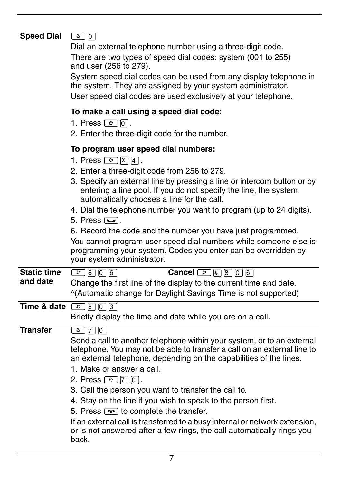### **Speed Dial <b>©** ©

Dial an external telephone number using a three-digit code.

There are two types of speed dial codes: system (001 to 255) and user (256 to 279).

System speed dial codes can be used from any display telephone in the system. They are assigned by your system administrator.

User speed dial codes are used exclusively at your telephone.

#### **To make a call using a speed dial code:**

- 1. Press  $\boxed{\circ}$  0.
- 2. Enter the three-digit code for the number.

### **To program user speed dial numbers:**

- 1. Press  $\boxed{e}$   $\boxed{\ast}$   $\boxed{4}$ .
- 2. Enter a three-digit code from 256 to 279.
- 3. Specify an external line by pressing a line or intercom button or by entering a line pool. If you do not specify the line, the system automatically chooses a line for the call.
- 4. Dial the telephone number you want to program (up to 24 digits).
- 5. Press  $\overline{\mathbf{y}}$ .
- 6. Record the code and the number you have just programmed.

You cannot program user speed dial numbers while someone else is programming your system. Codes you enter can be overridden by your system administrator.

| <b>Static time</b> | <b>Cancel</b> $\boxed{e}$ # 8 0 6                                  |
|--------------------|--------------------------------------------------------------------|
| and date           | Change the first line of the display to the current time and date. |
|                    | ^(Automatic change for Daylight Savings Time is not supported)     |
|                    |                                                                    |

**Time & date** © 8 0 3

Briefly display the time and date while you are on a call.

**Transfer <b>a a a a a a** 

Send a call to another telephone within your system, or to an external telephone. You may not be able to transfer a call on an external line to an external telephone, depending on the capabilities of the lines.

- 1. Make or answer a call.
- 2. Press  $\boxed{2}$   $\boxed{7}$   $\boxed{0}$ .
- 3. Call the person you want to transfer the call to.
- 4. Stay on the line if you wish to speak to the person first.
- 5. Press  $\boxed{\bullet}$  to complete the transfer.

If an external call is transferred to a busy internal or network extension, or is not answered after a few rings, the call automatically rings you back.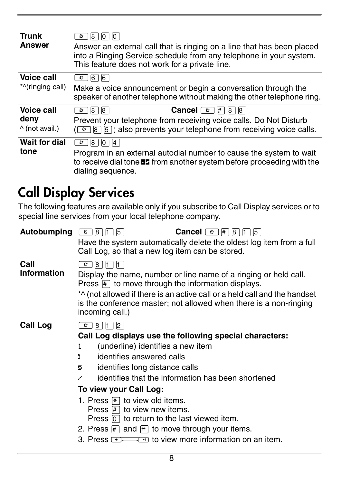| <b>Trunk</b><br>Answer        | 8 <br>O<br>10<br>Answer an external call that is ringing on a line that has been placed<br>into a Ringing Service schedule from any telephone in your system.<br>This feature does not work for a private line. |
|-------------------------------|-----------------------------------------------------------------------------------------------------------------------------------------------------------------------------------------------------------------|
| <b>Voice call</b>             | 6<br> 6 <br>$\frac{1}{2}$                                                                                                                                                                                       |
| *^(ringing call)              | Make a voice announcement or begin a conversation through the<br>speaker of another telephone without making the other telephone ring.                                                                          |
| Voice call                    | <b>Cancel</b> $\boxed{\circ}$ # 8 8<br> 8 <br>8<br>$\circ$ 1                                                                                                                                                    |
|                               |                                                                                                                                                                                                                 |
| deny<br>$\wedge$ (not avail.) | Prevent your telephone from receiving voice calls. Do Not Disturb<br>$(\boxed{\bullet}$ 8 $[5]$ ) also prevents your telephone from receiving voice calls.                                                      |
| <b>Wait for dial</b>          | l 8 I<br>$ 0 $   4<br>$\circ$ 1                                                                                                                                                                                 |

## **Call Display Services**

The following features are available only if you subscribe to Call Display services or to special line services from your local telephone company.

| Autobumping                | <b>Cancel</b> $\boxed{\circ}$ $\boxed{\#}$<br>$\overline{\mathbf{e}}$<br>8<br>5<br> 8 <br>15<br>Have the system automatically delete the oldest log item from a full<br>Call Log, so that a new log item can be stored.                                                                                                                                                                                                                                                                                                                                              |
|----------------------------|----------------------------------------------------------------------------------------------------------------------------------------------------------------------------------------------------------------------------------------------------------------------------------------------------------------------------------------------------------------------------------------------------------------------------------------------------------------------------------------------------------------------------------------------------------------------|
| Call<br><b>Information</b> | ø<br> 8 <br>$\mathsf{I}$<br>$\mathsf{I}$<br>Display the name, number or line name of a ringing or held call.<br>Press $ \# $ to move through the information displays.<br>*^ (not allowed if there is an active call or a held call and the handset<br>is the conference master; not allowed when there is a non-ringing<br>incoming call.)                                                                                                                                                                                                                          |
| <b>Call Log</b>            | 18<br>ø<br>Call Log displays use the following special characters:<br>(underline) identifies a new item<br>1<br>identifies answered calls<br>D.<br>identifies long distance calls<br>s<br>identifies that the information has been shortened<br>To view your Call Log:<br>1. Press $\mathbb{R}$ to view old items.<br>Press $\#$ to view new items.<br>Press $\boxed{0}$ to return to the last viewed item.<br>2. Press $\mathbb{H}$ and $\mathbb{H}$ to move through your items.<br>$\blacksquare$ to view more information on an item.<br>3. Press $\overline{++}$ |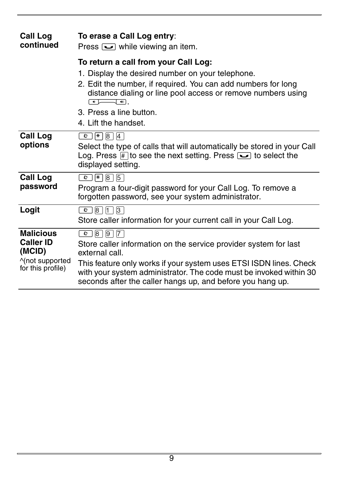| <b>Call Log</b><br>continued                                                           | To erase a Call Log entry:<br>Press $\sum$ while viewing an item.                                                                                                                                                                                                                                                  |
|----------------------------------------------------------------------------------------|--------------------------------------------------------------------------------------------------------------------------------------------------------------------------------------------------------------------------------------------------------------------------------------------------------------------|
|                                                                                        | To return a call from your Call Log:<br>1. Display the desired number on your telephone.<br>2. Edit the number, if required. You can add numbers for long<br>distance dialing or line pool access or remove numbers using<br>কেচ<br>ग.<br>3. Press a line button.<br>4. Lift the handset.                          |
| <b>Call Log</b><br>options                                                             | $\circ$   $\star$  8 4<br>Select the type of calls that will automatically be stored in your Call<br>Log. Press $\mathbb{H}$ to see the next setting. Press $\boxed{\bullet}$ to select the<br>displayed setting.                                                                                                  |
| <b>Call Log</b><br>password                                                            | $ \star $ 8   5<br>$\circ$<br>Program a four-digit password for your Call Log. To remove a<br>forgotten password, see your system administrator.                                                                                                                                                                   |
| Logit                                                                                  | $\circ$ 8 1 3<br>Store caller information for your current call in your Call Log.                                                                                                                                                                                                                                  |
| <b>Malicious</b><br><b>Caller ID</b><br>(MCID)<br>^(not supported<br>for this profile) | $\bullet$  8  9  7<br>Store caller information on the service provider system for last<br>external call.<br>This feature only works if your system uses ETSI ISDN lines. Check<br>with your system administrator. The code must be invoked within 30<br>seconds after the caller hangs up, and before you hang up. |